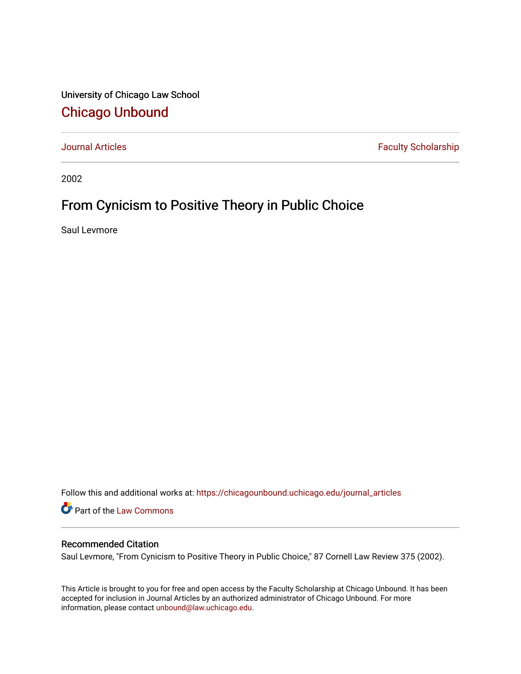University of Chicago Law School [Chicago Unbound](https://chicagounbound.uchicago.edu/)

[Journal Articles](https://chicagounbound.uchicago.edu/journal_articles) **Faculty Scholarship Faculty Scholarship** 

2002

# From Cynicism to Positive Theory in Public Choice

Saul Levmore

Follow this and additional works at: [https://chicagounbound.uchicago.edu/journal\\_articles](https://chicagounbound.uchicago.edu/journal_articles?utm_source=chicagounbound.uchicago.edu%2Fjournal_articles%2F1633&utm_medium=PDF&utm_campaign=PDFCoverPages) 

Part of the [Law Commons](http://network.bepress.com/hgg/discipline/578?utm_source=chicagounbound.uchicago.edu%2Fjournal_articles%2F1633&utm_medium=PDF&utm_campaign=PDFCoverPages)

## Recommended Citation

Saul Levmore, "From Cynicism to Positive Theory in Public Choice," 87 Cornell Law Review 375 (2002).

This Article is brought to you for free and open access by the Faculty Scholarship at Chicago Unbound. It has been accepted for inclusion in Journal Articles by an authorized administrator of Chicago Unbound. For more information, please contact [unbound@law.uchicago.edu](mailto:unbound@law.uchicago.edu).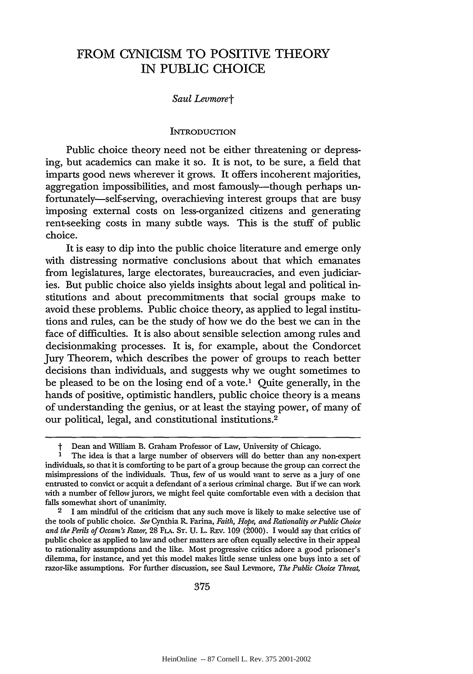# FROM **CYNICISM** TO POSITIVE THEORY **IN** PUBLIC **CHOICE**

#### *Saul Levmoret*

#### **INTRODUCTION**

Public choice theory need not be either threatening or depressing, but academics can make it so. It is not, to be sure, a field that imparts good news wherever it grows. It offers incoherent majorities, aggregation impossibilities, and most famously-though perhaps unfortunately-self-serving, overachieving interest groups that are busy imposing external costs on less-organized citizens and generating rent-seeking costs in many subtle ways. This is the stuff of public choice.

It is easy to dip into the public choice literature and emerge only with distressing normative conclusions about that which emanates from legislatures, large electorates, bureaucracies, and even judiciaries. But public choice also yields insights about legal and political institutions and about precommitments that social groups make to avoid these problems. Public choice theory, as applied to legal institutions and rules, can be the study of how we do the best we can in the face of difficulties. It is also about sensible selection among rules and decisionmaking processes. It is, for example, about the Condorcet Jury Theorem, which describes the power of groups to reach better decisions than individuals, and suggests why we ought sometimes to be pleased to be on the losing end of a vote.1 Quite generally, in the hands of positive, optimistic handlers, public choice theory is a means of understanding the genius, or at least the staying power, of many of our political, legal, and constitutional institutions.<sup>2</sup>

Dean and William B. Graham Professor of Law, University of Chicago.

**<sup>1</sup>** The idea is that a large number of observers will do better than any non-expert individuals, so that it is comforting to be part of a group because the group can correct the misimpressions of the individuals. Thus, few of us would want to serve as a jury of one entrusted to convict or acquit a defendant of a serious criminal charge. But if **we** can work with a number of fellow jurors, **we** might feel quite comfortable even with a decision that falls somewhat short of unanimity.

**<sup>2 1</sup>** am mindful of the criticism that any such move is likely to make selective use of the tools of public choice. *See* Cynthia R. Farina, *Faith, Hope, and Rationality orPublic Choice and the Perils of Occam'sRazor,* **28 FLA. ST. U.** L. **REv. 109** (2000). **I** would say that critics of public choice as applied to law and other matters are often equally selective in their appeal to rationality assumptions and the like. Most progressive critics adore a good prisoner's dilemma, for instance, and yet this model makes little sense unless one buys into a set of razor-like assumptions. For further discussion, see Saul Levmore, *The Public Choice Threat,*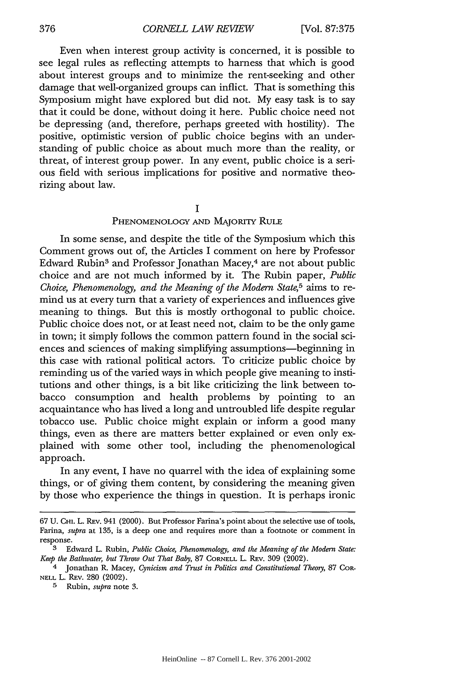Even when interest group activity is concerned, it is possible to see legal rules as reflecting attempts to harness that which is good about interest groups and to minimize the rent-seeking and other damage that well-organized groups can inflict. That is something this Symposium might have explored but did not. My easy task is to say that it could be done, without doing it here. Public choice need not be depressing (and, therefore, perhaps greeted with hostility). The positive, optimistic version of public choice begins with an understanding of public choice as about much more than the reality, or threat, of interest group power. In any event, public choice is a serious field with serious implications for positive and normative theorizing about law.

**I**

#### **PHENOMENOLOGY AND** MAJORiTy RuLE

In some sense, and despite the tide of the Symposium which this Comment grows out of, the Articles I comment on here by Professor Edward Rubin<sup>3</sup> and Professor Jonathan Macey,<sup>4</sup> are not about public choice and are not much informed by it. The Rubin paper, *Public Choice, Phenomenology, and the Meaning of the Modem State,5* aims to remind us at every turn that a variety of experiences and influences give meaning to things. But this is mostly orthogonal to public choice. Public choice does not, or at least need not, claim to be the only game in town; it simply follows the common pattern found in the social sciences and sciences of making simplifying assumptions—beginning in this case with rational political actors. To criticize public choice by reminding us of the varied ways in which people give meaning to institutions and other things, is a bit like criticizing the link between tobacco consumption and health problems by pointing to an acquaintance who has lived a long and untroubled life despite regular tobacco use. Public choice might explain or inform a good many things, even as there are matters better explained or even only explained with some other tool, including the phenomenological approach.

In any event, I have no quarrel with the idea of explaining some things, or of giving them content, by considering the meaning given by those who experience the things in question. It is perhaps ironic

376

<sup>67</sup> U. CHi. L. REv. 941 (2000). But Professor Farina's point about the selective use of tools, Farina, *supra* at 135, is a deep one and requires more than a footnote or comment in response.

**<sup>3</sup>** Edward L. Rubin, *Public Choice, Phenomenolog, and the Meaning of the Modern State: Keep the Bathwater, but Throw Out That Baby,* 87 CORNELL L. REv. 309 (2002).

<sup>4</sup> Jonathan R. Macey, *Cynicism and Trust in Politics and Constitutional Theory,* 87 CoR-**NELL** L. REv. 280 (2002).

**<sup>5</sup>** Rubin, *supra* note 3.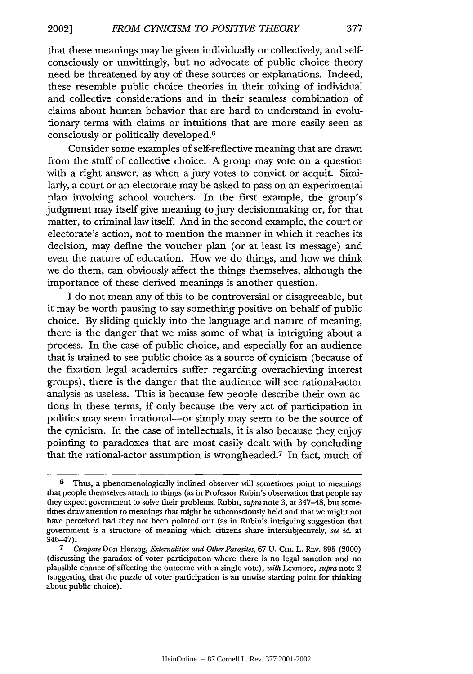that these meanings may be given individually or collectively, and selfconsciously or unwittingly, but no advocate of public choice theory need be threatened by any of these sources or explanations. Indeed, these resemble public choice theories in their mixing of individual and collective considerations and in their seamless combination of claims about human behavior that are hard to understand in evolutionary terms with claims or intuitions that are more easily seen as consciously or politically developed.<sup>6</sup>

Consider some examples of self-reflective meaning that are drawn from the stuff of collective choice. A group may vote on a question with a right answer, as when a jury votes to convict or acquit. Similarly, a court or an electorate may be asked to pass on an experimental plan involving school vouchers. In the first example, the group's judgment may itself give meaning to jury decisionmaking or, for that matter, to criminal law itself. And in the second example, the court or electorate's action, not to mention the manner in which it reaches its decision, may define the voucher plan (or at least its message) and even the nature of education. How we do things, and how we think we do them, can obviously affect the things themselves, although the importance of these derived meanings is another question.

I do not mean any of this to be controversial or disagreeable, but it may be worth pausing to say something positive on behalf of public choice. By sliding quickly into the language and nature of meaning, there is the danger that we miss some of what is intriguing about a process. In the case of public choice, and especially for an audience that is trained to see public choice as a source of cynicism (because of the fixation legal academics suffer regarding overachieving interest groups), there is the danger that the audience will see rational-actor analysis as useless. This is because few people describe their own actions in these terms, if only because the very act of participation in politics may seem irrational—or simply may seem to be the source of the cynicism. In the case of intellectuals, it is also because they. enjoy pointing to paradoxes that are most easily dealt with by concluding that the rational-actor assumption is wrongheaded.<sup>7</sup> In fact, much of

**<sup>6</sup>** Thus, a phenomenologically inclined observer will sometimes point to meanings that people themselves attach to things (as in Professor Rubin's observation that people say they expect government to solve their problems, Rubin, *supra* note 3, at 347-48, but sometimes draw attention to meanings that might be subconsciously held and that we might not have perceived had they not been pointed out (as in Rubin's intriguing suggestion that government *is* a structure of meaning which citizens share intersubjectively, *see id.* at 346-47).

**<sup>7</sup>** *Compare* Don Herzog, *Externalities and Other Parasites,* 67 U. **CHi.** L. REv. 895 (2000) (discussing the paradox of voter participation where there is no legal sanction and no plausible chance of affecting the outcome with a single vote), *with* Levmore, *supra* note 2 (suggesting that the puzzle of voter participation is an unwise starting point for thinking about public choice).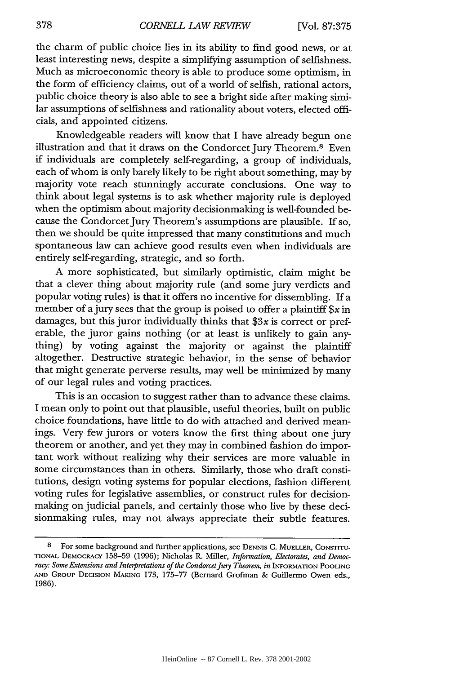the charm of public choice lies in its ability to find good news, or at least interesting news, despite a simplifying assumption of selfishness. Much as microeconomic theory is able to produce some optimism, in the form of efficiency claims, out of a world of selfish, rational actors, public choice theory is also able to see a bright side after making similar assumptions of selfishness and rationality about voters, elected officials, and appointed citizens.

Knowledgeable readers will know that I have already begun one illustration and that it draws on the Condorcet Jury Theorem.<sup>8</sup> Even if individuals are completely self-regarding, a group of individuals, each of whom is only barely likely to be right about something, may by majority vote reach stunningly accurate conclusions. One way to think about legal systems is to ask whether majority rule is deployed when the optimism about majority decisionmaking is well-founded because the Condorcet Jury Theorem's assumptions are plausible. If so, then we should be quite impressed that many constitutions and much spontaneous law can achieve good results even when individuals are entirely self-regarding, strategic, and so forth.

A more sophisticated, but similarly optimistic, claim might be that a clever thing about majority rule (and some jury verdicts and popular voting rules) is that it offers no incentive for dissembling. If a member of a jury sees that the group is poised to offer a plaintiff  $x \in \mathbb{R}$ damages, but this juror individually thinks that  $$3x$  is correct or preferable, the juror gains nothing (or at least is unlikely to gain anything) by voting against the majority or against the plaintiff altogether. Destructive strategic behavior, in the sense of behavior that might generate perverse results, may well be minimized by many of our legal rules and voting practices.

This is an occasion to suggest rather than to advance these claims. I mean only to point out that plausible, useful theories, built on public choice foundations, have little to do with attached and derived meanings. Very few jurors or voters know the first thing about one jury theorem or another, and yet they may in combined fashion do important work without realizing why their services are more valuable in some circumstances than in others. Similarly, those who draft constitutions, design voting systems for popular elections, fashion different voting rules for legislative assemblies, or construct rules for decisionmaking on judicial panels, and certainly those who live by these decisionmaking rules, may not always appreciate their subtle features.

**<sup>8</sup>** For some background and further applications, see **DENNIS C.** MUELLER, CONSTITU-**TIONAL DEMOCRACY** 158-59 (1996); Nicholas R. Miller, *Information, Electorates, and Democracy: Some Extensions and Interpretations of the CondorcetJury Theorem, in* INFORMATION **POOLING AND** GROUP **DECISION** MAKING 173, **175-77** (Bernard Grofman & Guillermo Owen eds., 1986).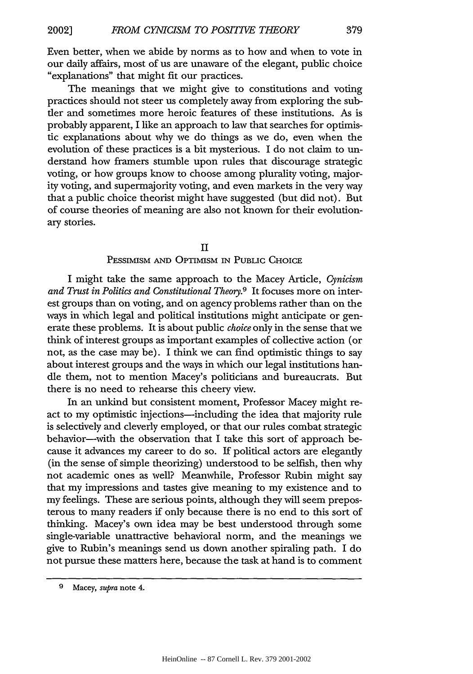Even better, when we abide by norms as to how and when to vote in our daily affairs, most of us are unaware of the elegant, public choice "explanations" that might fit our practices.

The meanings that we might give to constitutions and voting practices should not steer us completely away from exploring the subtler and sometimes more heroic features of these institutions. As is probably apparent, I like an approach to law that searches for optimistic explanations about why we do things as we do, even when the evolution of these practices is a bit mysterious. I do not claim to understand how framers stumble upon rules that discourage strategic voting, or how groups know to choose among plurality voting, majority voting, and supermajority voting, and even markets in the very way that a public choice theorist might have suggested (but did not). But of course theories of meaning are also not known for their evolutionary stories.

#### II

#### **PESSIMISM AND OPTIMISM** IN PUBLIC CHOICE

I might take the same approach to the Macey Article, *Cynicism and Trust in Politics and Constitutional Theory.9* It focuses more on interest groups than on voting, and on agency problems rather than on the ways in which legal and political institutions might anticipate or generate these problems. It is about public *choice* only in the sense that we think of interest groups as important examples of collective action (or not, as the case may be). I think we can find optimistic things to say about interest groups and the ways in which our legal institutions handle them, not to mention Macey's politicians and bureaucrats. But there is no need to rehearse this cheery view.

In an unkind but consistent moment, Professor Macey might react to my optimistic injections—including the idea that majority rule is selectively and cleverly employed, or that our rules combat strategic behavior-with the observation that I take this sort of approach because it advances my career to do so. If political actors are elegantly (in the sense of simple theorizing) understood to be selfish, then why not academic ones as well? Meanwhile, Professor Rubin might say that my impressions and tastes give meaning to my existence and to my feelings. These are serious points, although they will seem preposterous to many readers if only because there is no end to this sort of thinking. Macey's own idea may be best understood through some single-variable unattractive behavioral norm, and the meanings we give to Rubin's meanings send us down another spiraling path. I do not pursue these matters here, because the task at hand is to comment

**<sup>9</sup>** Macey, *supra* note 4.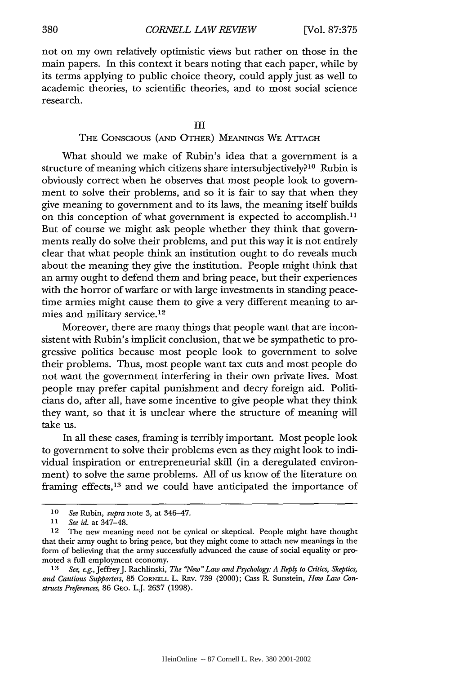not on my own relatively optimistic views but rather on those in the main papers. In this context it bears noting that each paper, while by its terms applying to public choice theory, could apply just as well to academic theories, to scientific theories, and to most social science research.

#### THE CONSCIOUS (AND OTHER) **MEANINGS** WE ATrACH

What should we make of Rubin's idea that a government is a structure of meaning which citizens share intersubjectively?<sup>10</sup> Rubin is obviously correct when he observes that most people look to government to solve their problems, and so it is fair to say that when they give meaning to government and to its laws, the meaning itself builds on this conception of what government is expected to accomplish.<sup>11</sup> But of course we might ask people whether they think that governments really do solve their problems, and put this way it is not entirely clear that what people think an institution ought to do reveals much about the meaning they give the institution. People might think that an army ought to defend them and bring peace, but their experiences with the horror of warfare or with large investments in standing peacetime armies might cause them to give a very different meaning to armies and military service. <sup>12</sup>

Moreover, there are many things that people want that are inconsistent with Rubin's implicit conclusion, that we be sympathetic to progressive politics because most people look to government to solve their problems. Thus, most people want tax cuts and most people do not want the government interfering in their own private lives. Most people may prefer capital punishment and decry foreign aid. Politicians do, after all, have some incentive to give people what they think they want, so that it is unclear where the structure of meaning will take us.

In all these cases, framing is terribly important. Most people look to government to solve their problems even as they might look to individual inspiration or entrepreneurial skill (in a deregulated environment) to solve the same problems. All of us know of the literature on framing effects, 13 and we could have anticipated the importance of

*<sup>10</sup> See* Rubin, *supra* note 3, at 346-47.

**<sup>11</sup>** *See id.* at 347-48.

<sup>12</sup> The new meaning need not be cynical or skeptical. People might have thought that their army ought to bring peace, but they might come to attach new meanings in the form of believing that the army successfully advanced the cause of social equality or promoted a full employment economy.

*<sup>13</sup> See, e.g.,* JeffreyJ. Rachlinski, *The "New" Law and Psychology: A Reply to Critics, Skeptics, and Cautious Supporters,* 85 CORNELL L. REv. 739 (2000); Cass R. Sunstein, *How Law Constructs Preferences,* 86 GEO. L.J. 2637 (1998).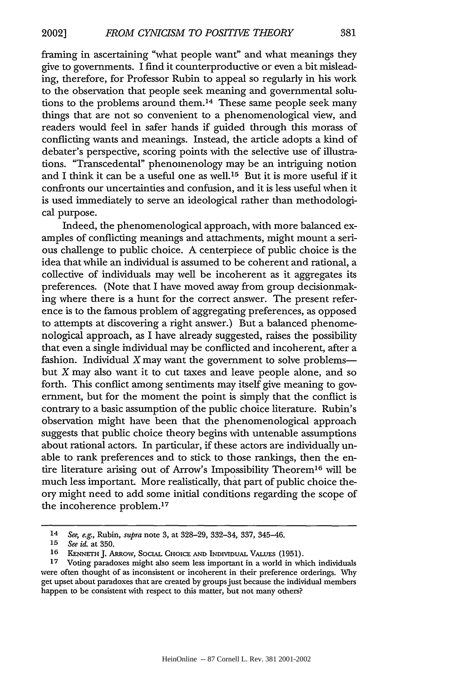framing in ascertaining "what people want" and what meanings they give to governments. I find it counterproductive or even a bit misleading, therefore, for Professor Rubin to appeal so regularly in his work to the observation that people seek meaning and governmental solutions to the problems around them.14 These same people seek many things that are not so convenient to a phenomenological view, and readers would feel in safer hands if guided through this morass of conflicting wants and meanings. Instead, the article adopts a kind of debater's perspective, scoring points with the selective use of illustrations. "Transcedental" phenomenology may be an intriguing notion and I think it can be a useful one as well. 15 But it is more useful if it confronts our uncertainties and confusion, and it is less useful when it is used immediately to serve an ideological rather than methodological purpose.

Indeed, the phenomenological approach, with more balanced examples of conflicting meanings and attachments, might mount a serious challenge to public choice. A centerpiece of public choice is the idea that while an individual is assumed to be coherent and rational, a collective of individuals may well be incoherent as it aggregates its preferences. (Note that I have moved away from group decisionmaking where there is a hunt for the correct answer. The present reference is to the famous problem of aggregating preferences, as opposed to attempts at discovering a right answer.) But a balanced phenomenological approach, as I have already suggested, raises the possibility that even a single individual may be conflicted and incoherent, after a fashion. Individual  $X$  may want the government to solve problems but X may also want it to cut taxes and leave people alone, and so forth. This conflict among sentiments may itself give meaning to government, but for the moment the point is simply that the conflict is contrary to a basic assumption of the public choice literature. Rubin's observation might have been that the phenomenological approach suggests that public choice theory begins with untenable assumptions about rational actors. In particular, if these actors are individually unable to rank preferences and to stick to those rankings, then the entire literature arising out of Arrow's Impossibility Theorem<sup>16</sup> will be much less important. More realistically, that part of public choice theory might need to add some initial conditions regarding the scope of the incoherence problem.<sup>17</sup>

*<sup>14</sup>* See, e.g., Rubin, *supra* note 3, at 328-29, 332-34, 337, 345-46.

*<sup>15</sup> See id.* at 350.

<sup>16</sup> KENNETH J. ARROW, SOCIAL CHOICE AND INDIVIDUAL VALUES (1951).

**<sup>17</sup>** Voting paradoxes might also seem less important in a world in which individuals were often thought of as inconsistent or incoherent in their preference orderings. Why get upset about paradoxes that are created by groups just because the individual members happen to be consistent with respect to this matter, but not many others?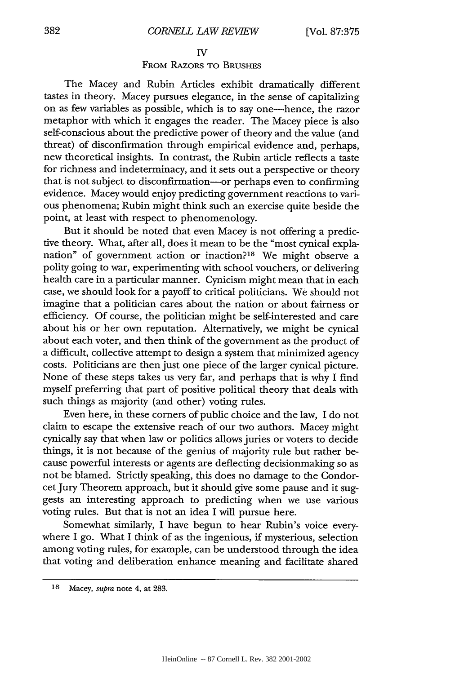#### IV

### FROM RAZORS TO **BRUSHES**

The Macey and Rubin Articles exhibit dramatically different tastes in theory. Macey pursues elegance, in the sense of capitalizing on as few variables as possible, which is to say one-hence, the razor metaphor with which it engages the reader. The Macey piece is also self-conscious about the predictive power of theory and the value (and threat) of disconfirmation through empirical evidence and, perhaps, new theoretical insights. In contrast, the Rubin article reflects a taste for richness and indeterminacy, and it sets out a perspective or theory that is not subject to disconfirmation-or perhaps even to confirming evidence. Macey would enjoy predicting government reactions to various phenomena; Rubin might think such an exercise quite beside the point, at least with respect to phenomenology.

But it should be noted that even Macey is not offering a predictive theory. What, after all, does it mean to be the "most cynical explanation" of government action or inaction?18 We might observe a polity going to war, experimenting with school vouchers, or delivering health care in a particular manner. Cynicism might mean that in each case, we should look for a payoff to critical politicians. We should not imagine that a politician cares about the nation or about fairness or efficiency. Of course, the politician might be self-interested and care about his or her own reputation. Alternatively, we might be cynical about each voter, and then think of the government as the product of a difficult, collective attempt to design a system that minimized agency costs. Politicians are then just one piece of the larger cynical picture. None of these steps takes us very far, and perhaps that is why I find myself preferring that part of positive political theory that deals with such things as majority (and other) voting rules.

Even here, in these corners of public choice and the law, I do not claim to escape the extensive reach of our two authors. Macey might cynically say that when law or politics allows juries or voters to decide things, it is not because of the genius of majority rule but rather because powerful interests or agents are deflecting decisionmaking so as not be blamed. Strictly speaking, this does no damage to the Condorcet Jury Theorem approach, but it should give some pause and it suggests an interesting approach to predicting when we use various voting rules. But that is not an idea I will pursue here.

Somewhat similarly, I have begun to hear Rubin's voice everywhere I go. What I think of as the ingenious, if mysterious, selection among voting rules, for example, can be understood through the idea that voting and deliberation enhance meaning and facilitate shared

**<sup>18</sup>** Macey, *supra* note 4, at **283.**